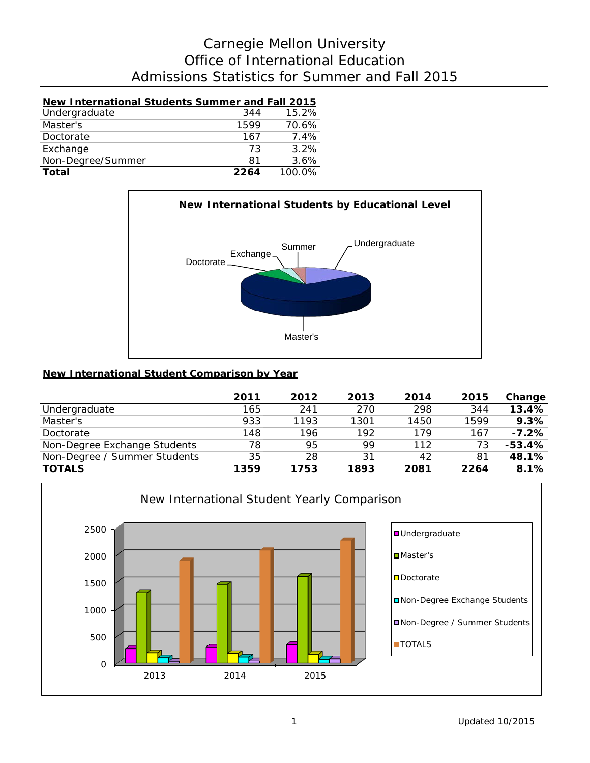# Admissions Statistics for Summer and Fall 2015 Office of International Education Carnegie Mellon University

| New International Students Summer and Fall 2015 |      |        |
|-------------------------------------------------|------|--------|
| Undergraduate                                   | 344  | 15.2%  |
| Master's                                        | 1599 | 70.6%  |
| Doctorate                                       | 167  | 7.4%   |
| Exchange                                        | 73   | 3.2%   |
| Non-Degree/Summer                               | 81   | 3.6%   |
| Total                                           | 2264 | 100.0% |



### **New International Student Comparison by Year**

|                              | 2011 | 2012 | 2013 | 2014 | 2015 | Change   |
|------------------------------|------|------|------|------|------|----------|
| Undergraduate                | 165  | 241  | 270  | 298  | 344  | 13.4%    |
| Master's                     | 933  | 1193 | 1301 | 1450 | 1599 | 9.3%     |
| Doctorate                    | 148  | 196  | 192  | 179  | 167  | $-7.2%$  |
| Non-Degree Exchange Students | 78   | 95   | 99   | 112  | 73   | $-53.4%$ |
| Non-Degree / Summer Students | 35   | 28   | 31   | 42   | 81   | 48.1%    |
| <b>TOTALS</b>                | 1359 | 1753 | 1893 | 2081 | 2264 | 8.1%     |

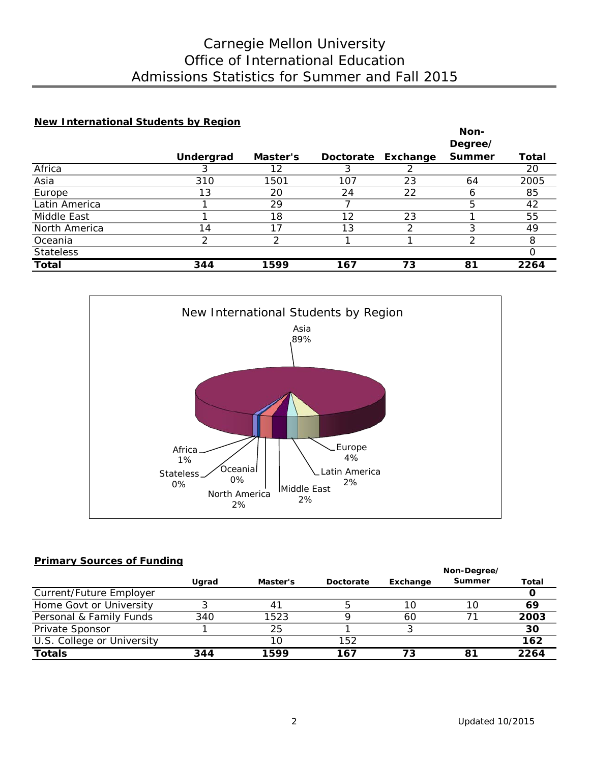# Admissions Statistics for Summer and Fall 2015 Office of International Education Carnegie Mellon University

### **New International Students by Region**

|                  |           |          |     |                    | Non-          |       |
|------------------|-----------|----------|-----|--------------------|---------------|-------|
|                  |           |          |     |                    | Degree/       |       |
|                  | Undergrad | Master's |     | Doctorate Exchange | <b>Summer</b> | Total |
| Africa           |           | 12       |     |                    |               | 20    |
| Asia             | 310       | 1501     | 107 | 23                 | 64            | 2005  |
| Europe           | 13        | 20       | 24  | 22                 | h             | 85    |
| Latin America    |           | 29       |     |                    | 5             | 42    |
| Middle East      |           | 18       | 12  | 23                 |               | 55    |
| North America    | 14        | 17       | 13  | 2                  |               | 49    |
| Oceania          | っ         | っ        |     |                    | ⌒             | 8     |
| <b>Stateless</b> |           |          |     |                    |               |       |
| <b>Total</b>     | 344       | 1599     | 167 | 73                 | 81            | 2264  |



### **Primary Sources of Funding**

|                            |       |          |           | Non-Degree/ |        |       |  |
|----------------------------|-------|----------|-----------|-------------|--------|-------|--|
|                            | Ugrad | Master's | Doctorate | Exchange    | Summer | Total |  |
| Current/Future Employer    |       |          |           |             |        |       |  |
| Home Govt or University    |       | 41       |           | 10          | 10     | 69    |  |
| Personal & Family Funds    | 340   | 1523     |           | 60          |        | 2003  |  |
| Private Sponsor            |       | 25       |           |             |        | 30    |  |
| U.S. College or University |       | 10       | 152       |             |        | 162   |  |
| <b>Totals</b>              | 344   | 1599     | 167       | 73          | 81     | 2264  |  |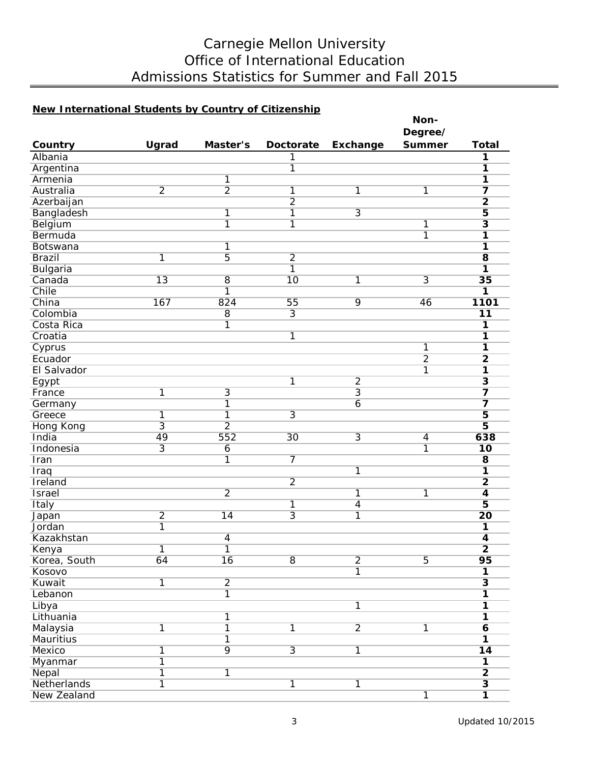# Carnegie Mellon University Office of International Education Admissions Statistics for Summer and Fall 2015

### **New International Students by Country of Citizenship**

|                              |                         |                |                |                | Non-           |                                                    |
|------------------------------|-------------------------|----------------|----------------|----------------|----------------|----------------------------------------------------|
|                              |                         |                |                |                | Degree/        |                                                    |
| Country                      | Ugrad                   | Master's       | Doctorate      | Exchange       | <b>Summer</b>  | <b>Total</b>                                       |
| Albania                      |                         |                | 1              |                |                | 1                                                  |
| Argentina                    |                         |                | $\overline{1}$ |                |                | 1                                                  |
| Armenia                      |                         | 1              |                |                |                | 1                                                  |
| Australia                    | $\overline{2}$          | $\overline{2}$ | $\overline{1}$ | 1              | 1              | $\overline{\mathbf{z}}$                            |
| Azerbaijan                   |                         |                | $\overline{2}$ |                |                | $\overline{2}$                                     |
| Bangladesh                   |                         | $\overline{1}$ | $\overline{1}$ | $\overline{3}$ |                | $\overline{\mathbf{5}}$                            |
| Belgium                      |                         | $\overline{1}$ | $\overline{1}$ |                | 1              | $\overline{\mathbf{3}}$                            |
| Bermuda                      |                         |                |                |                | $\overline{1}$ | 1                                                  |
| Botswana                     |                         | 1              |                |                |                | 1                                                  |
| <b>Brazil</b>                | 1                       | $\overline{5}$ | $\overline{2}$ |                |                | $\overline{8}$                                     |
| <b>Bulgaria</b>              |                         |                | $\overline{1}$ |                |                | 1                                                  |
| Canada                       | $\overline{13}$         | $\overline{8}$ | 10             | 1              | $\overline{3}$ | $\overline{35}$                                    |
| Chile                        |                         | $\overline{1}$ |                |                |                | 1                                                  |
| China                        | 167                     | 824            | 55             | $\overline{9}$ | 46             | 1101                                               |
| Colombia                     |                         | $\overline{8}$ | $\overline{3}$ |                |                | 11                                                 |
| Costa Rica                   |                         | $\overline{1}$ |                |                |                | 1                                                  |
| Croatia                      |                         |                | $\mathbf 1$    |                |                | $\overline{\mathbf{1}}$                            |
| Cyprus                       |                         |                |                |                | 1              | 1                                                  |
| Ecuador                      |                         |                |                |                | $\overline{2}$ | $\overline{2}$                                     |
| El Salvador                  |                         |                |                |                | 1              | 1                                                  |
| Egypt                        |                         |                | $\overline{1}$ | $\overline{2}$ |                | $\overline{\mathbf{3}}$                            |
| France                       | 1                       | $\overline{3}$ |                | $\overline{3}$ |                | $\overline{\mathbf{z}}$                            |
| Germany                      |                         | 1              |                | $\overline{6}$ |                | $\overline{\mathbf{z}}$                            |
| Greece                       | 1                       | 1              | $\overline{3}$ |                |                | $\overline{\mathbf{5}}$                            |
| Hong Kong                    | $\overline{3}$          | $\overline{2}$ |                |                |                | $\overline{5}$                                     |
| India                        | 49                      | 552            | 30             | $\overline{3}$ | $\overline{4}$ | 638                                                |
| Indonesia                    | $\overline{3}$          | 6              |                |                | 1              | 10                                                 |
| Iran                         |                         | 1              | 7              |                |                | $\overline{\mathbf{8}}$                            |
| Iraq                         |                         |                |                | 1              |                | 1                                                  |
| Ireland                      |                         |                | $\overline{2}$ |                |                | $\overline{2}$                                     |
| <b>Israel</b>                |                         | $\overline{2}$ |                | 1              | 1              | $\overline{\mathbf{4}}$                            |
| Italy                        |                         |                | $\overline{1}$ | $\overline{4}$ |                | $\overline{5}$                                     |
| Japan                        | $\overline{2}$          | 14             | $\overline{3}$ | 1              |                | $\overline{20}$                                    |
| Jordan                       | $\overline{\mathbb{1}}$ |                |                |                |                | 1                                                  |
| Kazakhstan                   |                         | 4              |                |                |                | 4                                                  |
| Kenya                        | 1                       | $\overline{1}$ |                |                |                | $\overline{\mathbf{2}}$                            |
| Korea, South                 | 64                      | 16             | $\overline{8}$ | $\overline{2}$ | $\overline{5}$ | 95                                                 |
| Kosovo                       |                         |                |                | $\overline{1}$ |                | $\overline{\mathbf{1}}$                            |
| Kuwait                       | $\overline{1}$          | $\overline{2}$ |                |                |                | $\overline{\mathbf{3}}$                            |
| Lebanon                      |                         | $\overline{1}$ |                |                |                | $\overline{\mathbf{1}}$                            |
| Libya                        |                         |                |                | 1              |                | $\overline{1}$                                     |
| Lithuania                    |                         | 1              |                |                |                | $\overline{1}$                                     |
|                              | $\overline{\mathbf{1}}$ | $\overline{1}$ | $\overline{1}$ | $\overline{2}$ | 1              |                                                    |
| Malaysia<br><b>Mauritius</b> |                         | $\overline{1}$ |                |                |                | $\overline{\mathbf{6}}$<br>$\overline{\mathbf{1}}$ |
| Mexico                       | $\overline{\mathbb{1}}$ | 9              | $\overline{3}$ | 1              |                | $\overline{14}$                                    |
|                              | $\overline{\mathbb{1}}$ |                |                |                |                | $\overline{\mathbf{1}}$                            |
| Myanmar                      |                         |                |                |                |                |                                                    |
| Nepal                        | $\overline{\mathbf{1}}$ | $\overline{1}$ |                |                |                | $\overline{2}$                                     |
| Netherlands                  | $\overline{1}$          |                | 1              | 1              |                | $\overline{\mathbf{3}}$                            |
| New Zealand                  |                         |                |                |                | $\overline{1}$ | $\overline{\mathbf{1}}$                            |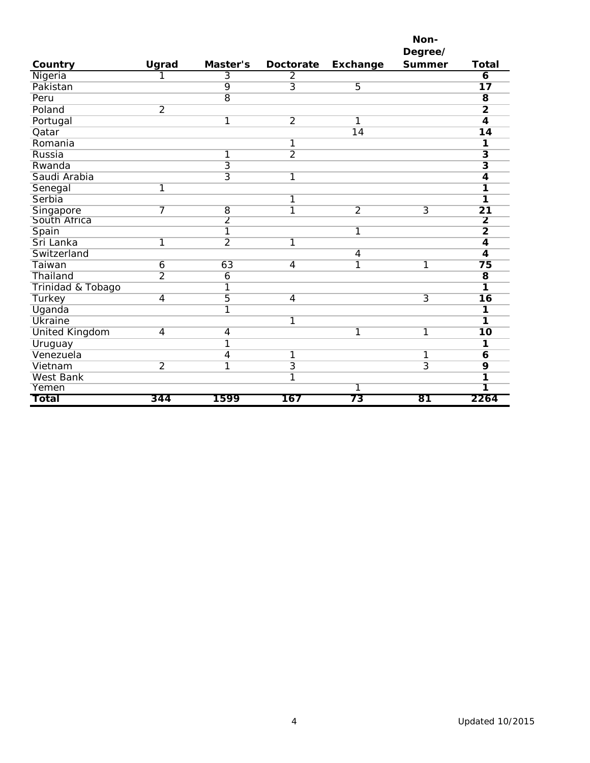|                       |                |                |                         |                 | Non-           |                         |
|-----------------------|----------------|----------------|-------------------------|-----------------|----------------|-------------------------|
|                       |                |                |                         |                 | Degree/        |                         |
| Country               | Ugrad          | Master's       | <b>Doctorate</b>        | Exchange        | <b>Summer</b>  | <b>Total</b>            |
| Nigeria               | 1              | $\overline{3}$ | $\overline{2}$          |                 |                | $\overline{6}$          |
| Pakistan              |                | 9              | $\overline{3}$          | $\overline{5}$  |                | $\overline{17}$         |
| Peru                  |                | $\overline{8}$ |                         |                 |                | $\overline{\mathbf{8}}$ |
| Poland                | $\overline{2}$ |                |                         |                 |                | $\overline{2}$          |
| Portugal              |                | 1              | $\overline{2}$          | 1               |                | $\overline{4}$          |
| Qatar                 |                |                |                         | $\overline{14}$ |                | $\overline{14}$         |
| Romania               |                |                | 1                       |                 |                | 1                       |
| Russia                |                | 1              | $\overline{2}$          |                 |                | $\overline{\mathbf{3}}$ |
| Rwanda                |                | $\overline{3}$ |                         |                 |                | $\overline{\mathbf{3}}$ |
| Saudi Arabia          |                | $\overline{3}$ | 1                       |                 |                | $\overline{4}$          |
| Senegal               | $\overline{1}$ |                |                         |                 |                | 1                       |
| Serbia                |                |                | 1                       |                 |                | 1                       |
| Singapore             | 7              | $\overline{8}$ | 1                       | $\overline{2}$  | $\overline{3}$ | $\overline{21}$         |
| South Africa          |                | $\overline{2}$ |                         |                 |                | $\overline{2}$          |
| Spain                 |                | $\overline{1}$ |                         | 1               |                | $\overline{2}$          |
| Sri Lanka             | $\overline{1}$ | $\overline{2}$ | $\overline{\mathbf{1}}$ |                 |                | $\overline{4}$          |
| Switzerland           |                |                |                         | 4               |                | $\overline{\mathbf{4}}$ |
| Taiwan                | 6              | 63             | $\overline{4}$          | 1               | $\mathbf{1}$   | $\overline{75}$         |
| Thailand              | $\overline{2}$ | 6              |                         |                 |                | $\overline{\mathbf{8}}$ |
| Trinidad & Tobago     |                | 1              |                         |                 |                | 1                       |
| <b>Turkey</b>         | $\overline{4}$ | 5              | $\overline{4}$          |                 | $\overline{3}$ | $\overline{16}$         |
| Uganda                |                | 1              |                         |                 |                | 1                       |
| <b>Ukraine</b>        |                |                | 1                       |                 |                | 1                       |
| <b>United Kingdom</b> | $\overline{4}$ | 4              |                         | 1               | 1              | $\overline{10}$         |
| Uruguay               |                | 1              |                         |                 |                | 1                       |
| Venezuela             |                | 4              | 1                       |                 | 1              | 6                       |
| Vietnam               | $\overline{2}$ | 1              | $\overline{3}$          |                 | $\overline{3}$ | $\overline{9}$          |
| <b>West Bank</b>      |                |                | 1                       |                 |                | 1                       |
| Yemen                 |                |                |                         | 1               |                |                         |
| Total                 | 344            | 1599           | 167                     | 73              | 81             | 2264                    |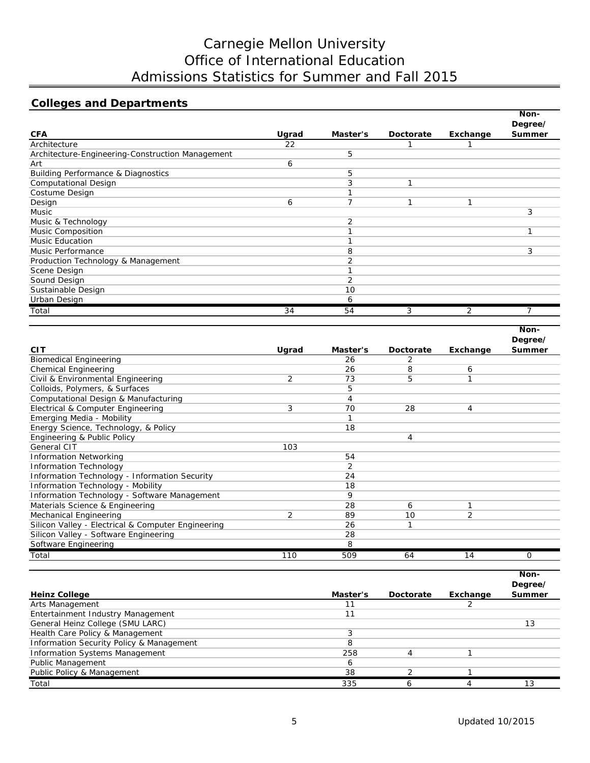# Carnegie Mellon University Office of International Education Admissions Statistics for Summer and Fall 2015

## **Colleges and Departments**

|                                                  |       |                |           |          | Non-                     |
|--------------------------------------------------|-------|----------------|-----------|----------|--------------------------|
|                                                  |       |                |           |          | Degree/                  |
| <b>CFA</b>                                       | Ugrad | Master's       | Doctorate | Exchange | Summer                   |
| Architecture                                     | 22    |                |           |          |                          |
| Architecture-Engineering-Construction Management |       | 5              |           |          |                          |
| Art                                              | 6     |                |           |          |                          |
| <b>Building Performance &amp; Diagnostics</b>    |       | 5              |           |          |                          |
| <b>Computational Design</b>                      |       | 3              |           |          |                          |
| Costume Design                                   |       |                |           |          |                          |
| Design                                           | 6     |                |           |          |                          |
| Music                                            |       |                |           |          | 3                        |
| Music & Technology                               |       | 2              |           |          |                          |
| Music Composition                                |       |                |           |          |                          |
| <b>Music Education</b>                           |       |                |           |          |                          |
| Music Performance                                |       | 8              |           |          | 3                        |
| Production Technology & Management               |       | $\overline{2}$ |           |          |                          |
| Scene Design                                     |       |                |           |          |                          |
| Sound Design                                     |       | 2              |           |          |                          |
| Sustainable Design                               |       | 10             |           |          |                          |
| Urban Design                                     |       | 6              |           |          |                          |
| Total                                            | 34    | 54             | 3         | 2        | $\overline{\phantom{a}}$ |

|                                                    |                |          |               |          | Non-     |
|----------------------------------------------------|----------------|----------|---------------|----------|----------|
|                                                    |                |          |               |          | Degree/  |
| <b>CIT</b>                                         | Ugrad          | Master's | Doctorate     | Exchange | Summer   |
| <b>Biomedical Engineering</b>                      |                | 26       | $\mathcal{P}$ |          |          |
| <b>Chemical Engineering</b>                        |                | 26       | 8             | 6        |          |
| Civil & Environmental Engineering                  | 2              | 73       | 5             | 1        |          |
| Colloids, Polymers, & Surfaces                     |                | 5        |               |          |          |
| Computational Design & Manufacturing               |                | 4        |               |          |          |
| Electrical & Computer Engineering                  | 3              | 70       | 28            | 4        |          |
| Emerging Media - Mobility                          |                |          |               |          |          |
| Energy Science, Technology, & Policy               |                | 18       |               |          |          |
| Engineering & Public Policy                        |                |          | 4             |          |          |
| General CIT                                        | 103            |          |               |          |          |
| <b>Information Networking</b>                      |                | 54       |               |          |          |
| <b>Information Technology</b>                      |                | 2        |               |          |          |
| Information Technology - Information Security      |                | 24       |               |          |          |
| Information Technology - Mobility                  |                | 18       |               |          |          |
| Information Technology - Software Management       |                | 9        |               |          |          |
| Materials Science & Engineering                    |                | 28       | 6             | 1        |          |
| Mechanical Engineering                             | $\overline{2}$ | 89       | 10            | 2        |          |
| Silicon Valley - Electrical & Computer Engineering |                | 26       |               |          |          |
| Silicon Valley - Software Engineering              |                | 28       |               |          |          |
| Software Engineering                               |                | 8        |               |          |          |
| Total                                              | 110            | 509      | 64            | 14       | $\Omega$ |

|                                          |          |           |          | Non-<br>Degree/ |
|------------------------------------------|----------|-----------|----------|-----------------|
| <b>Heinz College</b>                     | Master's | Doctorate | Exchange | Summer          |
| Arts Management                          |          |           |          |                 |
| Entertainment Industry Management        |          |           |          |                 |
| General Heinz College (SMU LARC)         |          |           |          |                 |
| Health Care Policy & Management          |          |           |          |                 |
| Information Security Policy & Management |          |           |          |                 |
| <b>Information Systems Management</b>    | 258      |           |          |                 |
| <b>Public Management</b>                 |          |           |          |                 |
| Public Policy & Management               | 38       |           |          |                 |
| Total                                    | 335      |           |          |                 |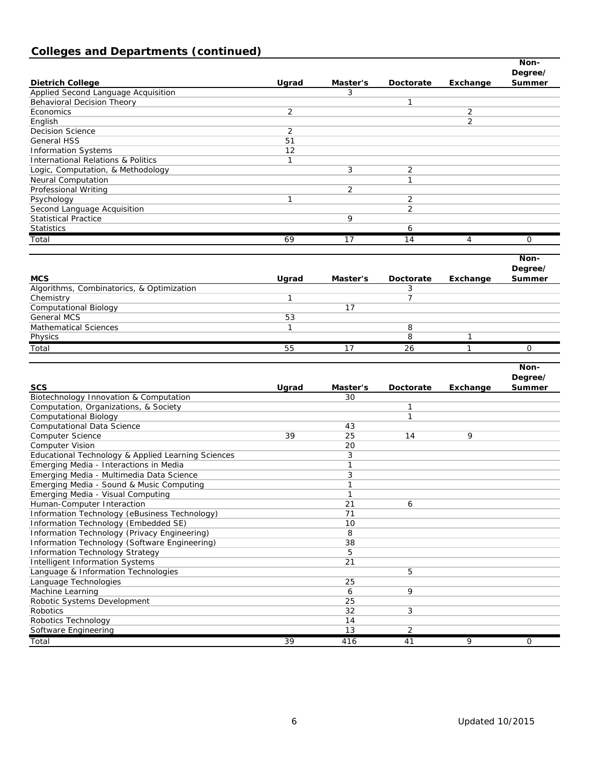# **Colleges and Departments (continued)**

| Ugrad<br>Summer<br><b>Dietrich College</b><br>Master's<br>Doctorate<br>Exchange<br>Applied Second Language Acquisition<br>3<br>Behavioral Decision Theory<br>1<br>2<br>2<br>Economics<br>$\overline{2}$<br>English<br><b>Decision Science</b><br>2<br>51<br><b>General HSS</b><br>12<br><b>Information Systems</b><br>$\mathbf{1}$<br><b>International Relations &amp; Politics</b><br>3<br>Logic, Computation, & Methodology<br>2<br>1<br><b>Neural Computation</b><br>2<br>Professional Writing<br>$\mathbf{1}$<br>Psychology<br>2<br>$\overline{2}$<br>Second Language Acquisition<br>9<br><b>Statistical Practice</b><br><b>Statistics</b><br>6<br>69<br>17<br>Total<br>14<br>4<br>0<br>Non-<br>Degree/<br><b>MCS</b><br>Ugrad<br>Master's<br>Doctorate<br>Exchange<br>Summer<br>Algorithms, Combinatorics, & Optimization<br>3<br>$\mathbf{1}$<br>Chemistry<br>7<br><b>Computational Biology</b><br>17<br><b>General MCS</b><br>53<br><b>Mathematical Sciences</b><br>$\mathbf{1}$<br>8<br>8<br>1<br>Physics<br>Total<br>55<br>17<br>26<br>1<br>0<br>Non-<br>Degree/<br><b>SCS</b><br>Ugrad<br>Exchange<br>Master's<br>Doctorate<br>Summer<br>Biotechnology Innovation & Computation<br>30<br>Computation, Organizations, & Society<br>1<br><b>Computational Biology</b><br>1<br><b>Computational Data Science</b><br>43<br>Computer Science<br>39<br>25<br>9<br>14<br>20<br><b>Computer Vision</b><br>Educational Technology & Applied Learning Sciences<br>3<br>Emerging Media - Interactions in Media<br>$\mathbf{1}$<br>3<br>Emerging Media - Multimedia Data Science<br>Emerging Media - Sound & Music Computing<br>$\mathbf{1}$<br>Emerging Media - Visual Computing<br>1<br>21<br>Human-Computer Interaction<br>6<br>Information Technology (eBusiness Technology)<br>71<br>Information Technology (Embedded SE)<br>10<br>$\overline{8}$<br>Information Technology (Privacy Engineering)<br>Information Technology (Software Engineering)<br>38<br>5<br>Information Technology Strategy<br>21<br><b>Intelligent Information Systems</b><br>Language & Information Technologies<br>5<br>Language Technologies<br>25<br>Machine Learning<br>9<br>6<br>25<br>Robotic Systems Development<br>Robotics<br>32<br>3<br>Robotics Technology<br>14<br>13<br>Software Engineering<br>$\overline{2}$ |  |  | Non-    |
|-------------------------------------------------------------------------------------------------------------------------------------------------------------------------------------------------------------------------------------------------------------------------------------------------------------------------------------------------------------------------------------------------------------------------------------------------------------------------------------------------------------------------------------------------------------------------------------------------------------------------------------------------------------------------------------------------------------------------------------------------------------------------------------------------------------------------------------------------------------------------------------------------------------------------------------------------------------------------------------------------------------------------------------------------------------------------------------------------------------------------------------------------------------------------------------------------------------------------------------------------------------------------------------------------------------------------------------------------------------------------------------------------------------------------------------------------------------------------------------------------------------------------------------------------------------------------------------------------------------------------------------------------------------------------------------------------------------------------------------------------------------------------------------------------------------------------------------------------------------------------------------------------------------------------------------------------------------------------------------------------------------------------------------------------------------------------------------------------------------------------------------------------------------------------------------------------------------------------------------------------------------------------------------------------------|--|--|---------|
|                                                                                                                                                                                                                                                                                                                                                                                                                                                                                                                                                                                                                                                                                                                                                                                                                                                                                                                                                                                                                                                                                                                                                                                                                                                                                                                                                                                                                                                                                                                                                                                                                                                                                                                                                                                                                                                                                                                                                                                                                                                                                                                                                                                                                                                                                                       |  |  | Degree/ |
|                                                                                                                                                                                                                                                                                                                                                                                                                                                                                                                                                                                                                                                                                                                                                                                                                                                                                                                                                                                                                                                                                                                                                                                                                                                                                                                                                                                                                                                                                                                                                                                                                                                                                                                                                                                                                                                                                                                                                                                                                                                                                                                                                                                                                                                                                                       |  |  |         |
|                                                                                                                                                                                                                                                                                                                                                                                                                                                                                                                                                                                                                                                                                                                                                                                                                                                                                                                                                                                                                                                                                                                                                                                                                                                                                                                                                                                                                                                                                                                                                                                                                                                                                                                                                                                                                                                                                                                                                                                                                                                                                                                                                                                                                                                                                                       |  |  |         |
|                                                                                                                                                                                                                                                                                                                                                                                                                                                                                                                                                                                                                                                                                                                                                                                                                                                                                                                                                                                                                                                                                                                                                                                                                                                                                                                                                                                                                                                                                                                                                                                                                                                                                                                                                                                                                                                                                                                                                                                                                                                                                                                                                                                                                                                                                                       |  |  |         |
|                                                                                                                                                                                                                                                                                                                                                                                                                                                                                                                                                                                                                                                                                                                                                                                                                                                                                                                                                                                                                                                                                                                                                                                                                                                                                                                                                                                                                                                                                                                                                                                                                                                                                                                                                                                                                                                                                                                                                                                                                                                                                                                                                                                                                                                                                                       |  |  |         |
|                                                                                                                                                                                                                                                                                                                                                                                                                                                                                                                                                                                                                                                                                                                                                                                                                                                                                                                                                                                                                                                                                                                                                                                                                                                                                                                                                                                                                                                                                                                                                                                                                                                                                                                                                                                                                                                                                                                                                                                                                                                                                                                                                                                                                                                                                                       |  |  |         |
|                                                                                                                                                                                                                                                                                                                                                                                                                                                                                                                                                                                                                                                                                                                                                                                                                                                                                                                                                                                                                                                                                                                                                                                                                                                                                                                                                                                                                                                                                                                                                                                                                                                                                                                                                                                                                                                                                                                                                                                                                                                                                                                                                                                                                                                                                                       |  |  |         |
|                                                                                                                                                                                                                                                                                                                                                                                                                                                                                                                                                                                                                                                                                                                                                                                                                                                                                                                                                                                                                                                                                                                                                                                                                                                                                                                                                                                                                                                                                                                                                                                                                                                                                                                                                                                                                                                                                                                                                                                                                                                                                                                                                                                                                                                                                                       |  |  |         |
|                                                                                                                                                                                                                                                                                                                                                                                                                                                                                                                                                                                                                                                                                                                                                                                                                                                                                                                                                                                                                                                                                                                                                                                                                                                                                                                                                                                                                                                                                                                                                                                                                                                                                                                                                                                                                                                                                                                                                                                                                                                                                                                                                                                                                                                                                                       |  |  |         |
|                                                                                                                                                                                                                                                                                                                                                                                                                                                                                                                                                                                                                                                                                                                                                                                                                                                                                                                                                                                                                                                                                                                                                                                                                                                                                                                                                                                                                                                                                                                                                                                                                                                                                                                                                                                                                                                                                                                                                                                                                                                                                                                                                                                                                                                                                                       |  |  |         |
|                                                                                                                                                                                                                                                                                                                                                                                                                                                                                                                                                                                                                                                                                                                                                                                                                                                                                                                                                                                                                                                                                                                                                                                                                                                                                                                                                                                                                                                                                                                                                                                                                                                                                                                                                                                                                                                                                                                                                                                                                                                                                                                                                                                                                                                                                                       |  |  |         |
|                                                                                                                                                                                                                                                                                                                                                                                                                                                                                                                                                                                                                                                                                                                                                                                                                                                                                                                                                                                                                                                                                                                                                                                                                                                                                                                                                                                                                                                                                                                                                                                                                                                                                                                                                                                                                                                                                                                                                                                                                                                                                                                                                                                                                                                                                                       |  |  |         |
|                                                                                                                                                                                                                                                                                                                                                                                                                                                                                                                                                                                                                                                                                                                                                                                                                                                                                                                                                                                                                                                                                                                                                                                                                                                                                                                                                                                                                                                                                                                                                                                                                                                                                                                                                                                                                                                                                                                                                                                                                                                                                                                                                                                                                                                                                                       |  |  |         |
|                                                                                                                                                                                                                                                                                                                                                                                                                                                                                                                                                                                                                                                                                                                                                                                                                                                                                                                                                                                                                                                                                                                                                                                                                                                                                                                                                                                                                                                                                                                                                                                                                                                                                                                                                                                                                                                                                                                                                                                                                                                                                                                                                                                                                                                                                                       |  |  |         |
|                                                                                                                                                                                                                                                                                                                                                                                                                                                                                                                                                                                                                                                                                                                                                                                                                                                                                                                                                                                                                                                                                                                                                                                                                                                                                                                                                                                                                                                                                                                                                                                                                                                                                                                                                                                                                                                                                                                                                                                                                                                                                                                                                                                                                                                                                                       |  |  |         |
|                                                                                                                                                                                                                                                                                                                                                                                                                                                                                                                                                                                                                                                                                                                                                                                                                                                                                                                                                                                                                                                                                                                                                                                                                                                                                                                                                                                                                                                                                                                                                                                                                                                                                                                                                                                                                                                                                                                                                                                                                                                                                                                                                                                                                                                                                                       |  |  |         |
|                                                                                                                                                                                                                                                                                                                                                                                                                                                                                                                                                                                                                                                                                                                                                                                                                                                                                                                                                                                                                                                                                                                                                                                                                                                                                                                                                                                                                                                                                                                                                                                                                                                                                                                                                                                                                                                                                                                                                                                                                                                                                                                                                                                                                                                                                                       |  |  |         |
|                                                                                                                                                                                                                                                                                                                                                                                                                                                                                                                                                                                                                                                                                                                                                                                                                                                                                                                                                                                                                                                                                                                                                                                                                                                                                                                                                                                                                                                                                                                                                                                                                                                                                                                                                                                                                                                                                                                                                                                                                                                                                                                                                                                                                                                                                                       |  |  |         |
|                                                                                                                                                                                                                                                                                                                                                                                                                                                                                                                                                                                                                                                                                                                                                                                                                                                                                                                                                                                                                                                                                                                                                                                                                                                                                                                                                                                                                                                                                                                                                                                                                                                                                                                                                                                                                                                                                                                                                                                                                                                                                                                                                                                                                                                                                                       |  |  |         |
|                                                                                                                                                                                                                                                                                                                                                                                                                                                                                                                                                                                                                                                                                                                                                                                                                                                                                                                                                                                                                                                                                                                                                                                                                                                                                                                                                                                                                                                                                                                                                                                                                                                                                                                                                                                                                                                                                                                                                                                                                                                                                                                                                                                                                                                                                                       |  |  |         |
|                                                                                                                                                                                                                                                                                                                                                                                                                                                                                                                                                                                                                                                                                                                                                                                                                                                                                                                                                                                                                                                                                                                                                                                                                                                                                                                                                                                                                                                                                                                                                                                                                                                                                                                                                                                                                                                                                                                                                                                                                                                                                                                                                                                                                                                                                                       |  |  |         |
|                                                                                                                                                                                                                                                                                                                                                                                                                                                                                                                                                                                                                                                                                                                                                                                                                                                                                                                                                                                                                                                                                                                                                                                                                                                                                                                                                                                                                                                                                                                                                                                                                                                                                                                                                                                                                                                                                                                                                                                                                                                                                                                                                                                                                                                                                                       |  |  |         |
|                                                                                                                                                                                                                                                                                                                                                                                                                                                                                                                                                                                                                                                                                                                                                                                                                                                                                                                                                                                                                                                                                                                                                                                                                                                                                                                                                                                                                                                                                                                                                                                                                                                                                                                                                                                                                                                                                                                                                                                                                                                                                                                                                                                                                                                                                                       |  |  |         |
|                                                                                                                                                                                                                                                                                                                                                                                                                                                                                                                                                                                                                                                                                                                                                                                                                                                                                                                                                                                                                                                                                                                                                                                                                                                                                                                                                                                                                                                                                                                                                                                                                                                                                                                                                                                                                                                                                                                                                                                                                                                                                                                                                                                                                                                                                                       |  |  |         |
|                                                                                                                                                                                                                                                                                                                                                                                                                                                                                                                                                                                                                                                                                                                                                                                                                                                                                                                                                                                                                                                                                                                                                                                                                                                                                                                                                                                                                                                                                                                                                                                                                                                                                                                                                                                                                                                                                                                                                                                                                                                                                                                                                                                                                                                                                                       |  |  |         |
|                                                                                                                                                                                                                                                                                                                                                                                                                                                                                                                                                                                                                                                                                                                                                                                                                                                                                                                                                                                                                                                                                                                                                                                                                                                                                                                                                                                                                                                                                                                                                                                                                                                                                                                                                                                                                                                                                                                                                                                                                                                                                                                                                                                                                                                                                                       |  |  |         |
|                                                                                                                                                                                                                                                                                                                                                                                                                                                                                                                                                                                                                                                                                                                                                                                                                                                                                                                                                                                                                                                                                                                                                                                                                                                                                                                                                                                                                                                                                                                                                                                                                                                                                                                                                                                                                                                                                                                                                                                                                                                                                                                                                                                                                                                                                                       |  |  |         |
|                                                                                                                                                                                                                                                                                                                                                                                                                                                                                                                                                                                                                                                                                                                                                                                                                                                                                                                                                                                                                                                                                                                                                                                                                                                                                                                                                                                                                                                                                                                                                                                                                                                                                                                                                                                                                                                                                                                                                                                                                                                                                                                                                                                                                                                                                                       |  |  |         |
|                                                                                                                                                                                                                                                                                                                                                                                                                                                                                                                                                                                                                                                                                                                                                                                                                                                                                                                                                                                                                                                                                                                                                                                                                                                                                                                                                                                                                                                                                                                                                                                                                                                                                                                                                                                                                                                                                                                                                                                                                                                                                                                                                                                                                                                                                                       |  |  |         |
|                                                                                                                                                                                                                                                                                                                                                                                                                                                                                                                                                                                                                                                                                                                                                                                                                                                                                                                                                                                                                                                                                                                                                                                                                                                                                                                                                                                                                                                                                                                                                                                                                                                                                                                                                                                                                                                                                                                                                                                                                                                                                                                                                                                                                                                                                                       |  |  |         |
|                                                                                                                                                                                                                                                                                                                                                                                                                                                                                                                                                                                                                                                                                                                                                                                                                                                                                                                                                                                                                                                                                                                                                                                                                                                                                                                                                                                                                                                                                                                                                                                                                                                                                                                                                                                                                                                                                                                                                                                                                                                                                                                                                                                                                                                                                                       |  |  |         |
|                                                                                                                                                                                                                                                                                                                                                                                                                                                                                                                                                                                                                                                                                                                                                                                                                                                                                                                                                                                                                                                                                                                                                                                                                                                                                                                                                                                                                                                                                                                                                                                                                                                                                                                                                                                                                                                                                                                                                                                                                                                                                                                                                                                                                                                                                                       |  |  |         |
|                                                                                                                                                                                                                                                                                                                                                                                                                                                                                                                                                                                                                                                                                                                                                                                                                                                                                                                                                                                                                                                                                                                                                                                                                                                                                                                                                                                                                                                                                                                                                                                                                                                                                                                                                                                                                                                                                                                                                                                                                                                                                                                                                                                                                                                                                                       |  |  |         |
|                                                                                                                                                                                                                                                                                                                                                                                                                                                                                                                                                                                                                                                                                                                                                                                                                                                                                                                                                                                                                                                                                                                                                                                                                                                                                                                                                                                                                                                                                                                                                                                                                                                                                                                                                                                                                                                                                                                                                                                                                                                                                                                                                                                                                                                                                                       |  |  |         |
|                                                                                                                                                                                                                                                                                                                                                                                                                                                                                                                                                                                                                                                                                                                                                                                                                                                                                                                                                                                                                                                                                                                                                                                                                                                                                                                                                                                                                                                                                                                                                                                                                                                                                                                                                                                                                                                                                                                                                                                                                                                                                                                                                                                                                                                                                                       |  |  |         |
|                                                                                                                                                                                                                                                                                                                                                                                                                                                                                                                                                                                                                                                                                                                                                                                                                                                                                                                                                                                                                                                                                                                                                                                                                                                                                                                                                                                                                                                                                                                                                                                                                                                                                                                                                                                                                                                                                                                                                                                                                                                                                                                                                                                                                                                                                                       |  |  |         |
|                                                                                                                                                                                                                                                                                                                                                                                                                                                                                                                                                                                                                                                                                                                                                                                                                                                                                                                                                                                                                                                                                                                                                                                                                                                                                                                                                                                                                                                                                                                                                                                                                                                                                                                                                                                                                                                                                                                                                                                                                                                                                                                                                                                                                                                                                                       |  |  |         |
|                                                                                                                                                                                                                                                                                                                                                                                                                                                                                                                                                                                                                                                                                                                                                                                                                                                                                                                                                                                                                                                                                                                                                                                                                                                                                                                                                                                                                                                                                                                                                                                                                                                                                                                                                                                                                                                                                                                                                                                                                                                                                                                                                                                                                                                                                                       |  |  |         |
|                                                                                                                                                                                                                                                                                                                                                                                                                                                                                                                                                                                                                                                                                                                                                                                                                                                                                                                                                                                                                                                                                                                                                                                                                                                                                                                                                                                                                                                                                                                                                                                                                                                                                                                                                                                                                                                                                                                                                                                                                                                                                                                                                                                                                                                                                                       |  |  |         |
|                                                                                                                                                                                                                                                                                                                                                                                                                                                                                                                                                                                                                                                                                                                                                                                                                                                                                                                                                                                                                                                                                                                                                                                                                                                                                                                                                                                                                                                                                                                                                                                                                                                                                                                                                                                                                                                                                                                                                                                                                                                                                                                                                                                                                                                                                                       |  |  |         |
|                                                                                                                                                                                                                                                                                                                                                                                                                                                                                                                                                                                                                                                                                                                                                                                                                                                                                                                                                                                                                                                                                                                                                                                                                                                                                                                                                                                                                                                                                                                                                                                                                                                                                                                                                                                                                                                                                                                                                                                                                                                                                                                                                                                                                                                                                                       |  |  |         |
|                                                                                                                                                                                                                                                                                                                                                                                                                                                                                                                                                                                                                                                                                                                                                                                                                                                                                                                                                                                                                                                                                                                                                                                                                                                                                                                                                                                                                                                                                                                                                                                                                                                                                                                                                                                                                                                                                                                                                                                                                                                                                                                                                                                                                                                                                                       |  |  |         |
|                                                                                                                                                                                                                                                                                                                                                                                                                                                                                                                                                                                                                                                                                                                                                                                                                                                                                                                                                                                                                                                                                                                                                                                                                                                                                                                                                                                                                                                                                                                                                                                                                                                                                                                                                                                                                                                                                                                                                                                                                                                                                                                                                                                                                                                                                                       |  |  |         |
|                                                                                                                                                                                                                                                                                                                                                                                                                                                                                                                                                                                                                                                                                                                                                                                                                                                                                                                                                                                                                                                                                                                                                                                                                                                                                                                                                                                                                                                                                                                                                                                                                                                                                                                                                                                                                                                                                                                                                                                                                                                                                                                                                                                                                                                                                                       |  |  |         |
|                                                                                                                                                                                                                                                                                                                                                                                                                                                                                                                                                                                                                                                                                                                                                                                                                                                                                                                                                                                                                                                                                                                                                                                                                                                                                                                                                                                                                                                                                                                                                                                                                                                                                                                                                                                                                                                                                                                                                                                                                                                                                                                                                                                                                                                                                                       |  |  |         |
|                                                                                                                                                                                                                                                                                                                                                                                                                                                                                                                                                                                                                                                                                                                                                                                                                                                                                                                                                                                                                                                                                                                                                                                                                                                                                                                                                                                                                                                                                                                                                                                                                                                                                                                                                                                                                                                                                                                                                                                                                                                                                                                                                                                                                                                                                                       |  |  |         |
|                                                                                                                                                                                                                                                                                                                                                                                                                                                                                                                                                                                                                                                                                                                                                                                                                                                                                                                                                                                                                                                                                                                                                                                                                                                                                                                                                                                                                                                                                                                                                                                                                                                                                                                                                                                                                                                                                                                                                                                                                                                                                                                                                                                                                                                                                                       |  |  |         |
|                                                                                                                                                                                                                                                                                                                                                                                                                                                                                                                                                                                                                                                                                                                                                                                                                                                                                                                                                                                                                                                                                                                                                                                                                                                                                                                                                                                                                                                                                                                                                                                                                                                                                                                                                                                                                                                                                                                                                                                                                                                                                                                                                                                                                                                                                                       |  |  |         |
|                                                                                                                                                                                                                                                                                                                                                                                                                                                                                                                                                                                                                                                                                                                                                                                                                                                                                                                                                                                                                                                                                                                                                                                                                                                                                                                                                                                                                                                                                                                                                                                                                                                                                                                                                                                                                                                                                                                                                                                                                                                                                                                                                                                                                                                                                                       |  |  |         |
|                                                                                                                                                                                                                                                                                                                                                                                                                                                                                                                                                                                                                                                                                                                                                                                                                                                                                                                                                                                                                                                                                                                                                                                                                                                                                                                                                                                                                                                                                                                                                                                                                                                                                                                                                                                                                                                                                                                                                                                                                                                                                                                                                                                                                                                                                                       |  |  |         |
|                                                                                                                                                                                                                                                                                                                                                                                                                                                                                                                                                                                                                                                                                                                                                                                                                                                                                                                                                                                                                                                                                                                                                                                                                                                                                                                                                                                                                                                                                                                                                                                                                                                                                                                                                                                                                                                                                                                                                                                                                                                                                                                                                                                                                                                                                                       |  |  |         |
|                                                                                                                                                                                                                                                                                                                                                                                                                                                                                                                                                                                                                                                                                                                                                                                                                                                                                                                                                                                                                                                                                                                                                                                                                                                                                                                                                                                                                                                                                                                                                                                                                                                                                                                                                                                                                                                                                                                                                                                                                                                                                                                                                                                                                                                                                                       |  |  |         |
|                                                                                                                                                                                                                                                                                                                                                                                                                                                                                                                                                                                                                                                                                                                                                                                                                                                                                                                                                                                                                                                                                                                                                                                                                                                                                                                                                                                                                                                                                                                                                                                                                                                                                                                                                                                                                                                                                                                                                                                                                                                                                                                                                                                                                                                                                                       |  |  |         |
|                                                                                                                                                                                                                                                                                                                                                                                                                                                                                                                                                                                                                                                                                                                                                                                                                                                                                                                                                                                                                                                                                                                                                                                                                                                                                                                                                                                                                                                                                                                                                                                                                                                                                                                                                                                                                                                                                                                                                                                                                                                                                                                                                                                                                                                                                                       |  |  |         |
|                                                                                                                                                                                                                                                                                                                                                                                                                                                                                                                                                                                                                                                                                                                                                                                                                                                                                                                                                                                                                                                                                                                                                                                                                                                                                                                                                                                                                                                                                                                                                                                                                                                                                                                                                                                                                                                                                                                                                                                                                                                                                                                                                                                                                                                                                                       |  |  |         |
|                                                                                                                                                                                                                                                                                                                                                                                                                                                                                                                                                                                                                                                                                                                                                                                                                                                                                                                                                                                                                                                                                                                                                                                                                                                                                                                                                                                                                                                                                                                                                                                                                                                                                                                                                                                                                                                                                                                                                                                                                                                                                                                                                                                                                                                                                                       |  |  |         |
|                                                                                                                                                                                                                                                                                                                                                                                                                                                                                                                                                                                                                                                                                                                                                                                                                                                                                                                                                                                                                                                                                                                                                                                                                                                                                                                                                                                                                                                                                                                                                                                                                                                                                                                                                                                                                                                                                                                                                                                                                                                                                                                                                                                                                                                                                                       |  |  |         |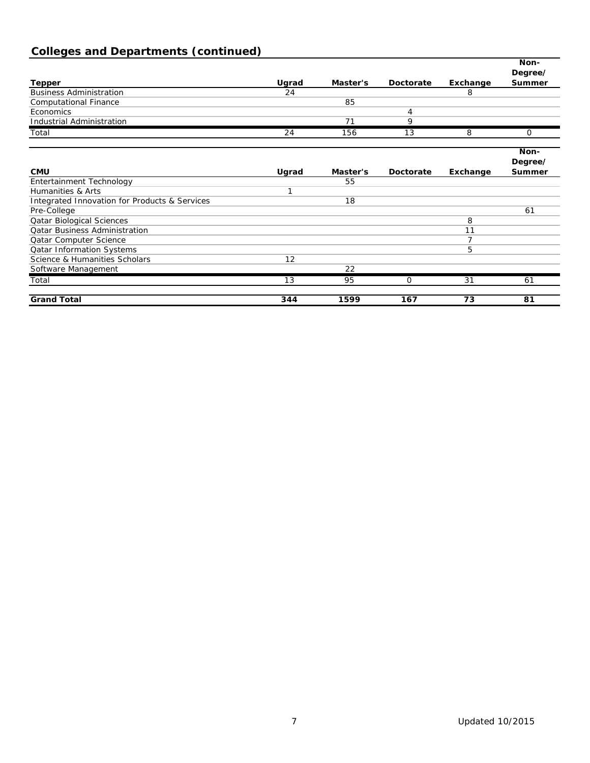# **Colleges and Departments (continued)**

|                                                          |       |          |           |          | Non-    |
|----------------------------------------------------------|-------|----------|-----------|----------|---------|
|                                                          |       |          |           |          | Degree/ |
| <b>Tepper</b>                                            | Ugrad | Master's | Doctorate | Exchange | Summer  |
| <b>Business Administration</b>                           | 24    |          |           | 8        |         |
| <b>Computational Finance</b>                             |       | 85       |           |          |         |
| Economics                                                |       |          | 4         |          |         |
| <b>Industrial Administration</b>                         |       | 71       | 9         |          |         |
| Total                                                    | 24    | 156      | 13        | 8        | 0       |
|                                                          |       |          |           |          | Non-    |
|                                                          |       |          |           |          | Degree/ |
| <b>CMU</b>                                               | Ugrad | Master's | Doctorate | Exchange | Summer  |
| Entertainment Technology                                 |       | 55       |           |          |         |
| Humanities & Arts                                        | п     |          |           |          |         |
| <b>Integrated Innovation for Products &amp; Services</b> |       | 18       |           |          |         |
| Pre-College                                              |       |          |           |          | 61      |
| <b>Qatar Biological Sciences</b>                         |       |          |           | 8        |         |
| <b>Qatar Business Administration</b>                     |       |          |           | 11       |         |
| Qatar Computer Science                                   |       |          |           | 7        |         |
| <b>Qatar Information Systems</b>                         |       |          |           | 5        |         |
| Science & Humanities Scholars                            | 12    |          |           |          |         |
| Software Management                                      |       | 22       |           |          |         |
| Total                                                    | 13    | 95       | 0         | 31       | 61      |
| <b>Grand Total</b>                                       | 344   | 1599     | 167       | 73       | 81      |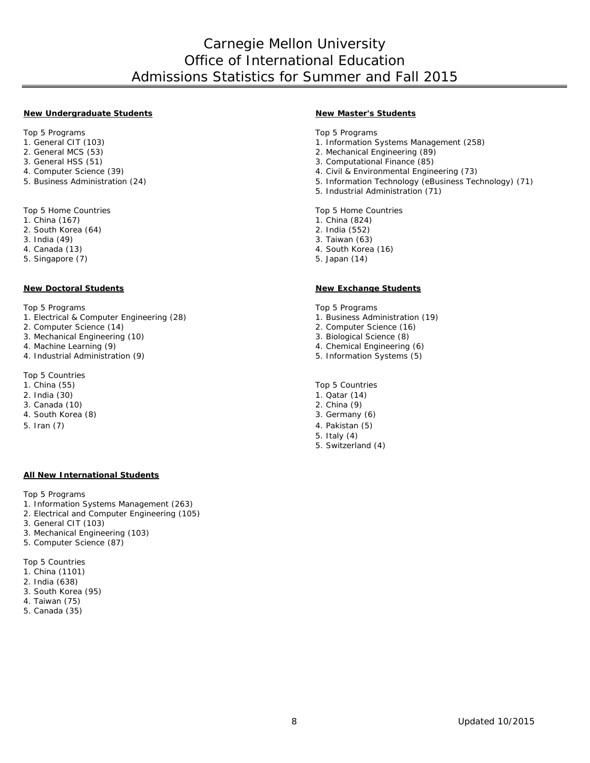## Carnegie Mellon University Office of International Education Admissions Statistics for Summer and Fall 2015

#### **New Undergraduate Students New Master's Students**

- 
- 
- 
- 
- 

Top 5 Home Countries Top 5 Home Countries Top 5 Home Countries<br>1. China (167) 1. China (824)

- 1. China (167) 1. China (824) 1. China (824) 2. South Korea (64)
- 2. South Korea (64)<br>3. India (49)
- 
- 
- 5. Singapore (7) 5. Japan (14)

- Top 5 Programs<br>1. Electrical & Computer Engineering (28) <br>1. Electrical & Computer Engineering (28) <br>1. Business Administration (19) 1. Electrical & Computer Engineering (28) 1. Business Administration 2. Computer Science (14) 2. Computer Science (16)
- 
- 2. Computer Science (14) 2. Computer Science (16) 3. Mechanical Engineering (10)<br>4. Machine Learning (9)
- 
- 4. Industrial Administration (9).

Top 5 Countries<br>1. China (55)

- 
- 
- 3. Canada (10)
- 4. South Korea (8) 3. Germany (6)
- 5. Iran (7) 4. Pakistan (5)

#### **All New International Students**

Top 5 Programs

- 1. Information Systems Management (263)
- 2. Electrical and Computer Engineering (105)
- 3. General CIT (103)
- 3. Mechanical Engineering (103)
- 5. Computer Science (87)

Top 5 Countries

- 1. China (1101)
- 2. India (638)
- 3. South Korea (95)
- 4. Taiwan (75)
- 5. Canada (35)

Top 5 Programs Top 5 Programs Top 5 Programs Top 5 Programs Top 5 Programs Top 5 Programs Top 5 Programs Top 5 Programs Top 5 Programs Top 5 Programs Top 5 Programs Top 5 Programs Top 5 Programs Top 5 Programs Top 5 Progra

- 1. General CIT (103) 1. General CIT (103)<br>
2. General MCS (53) 1. Information Systems Management (258)<br>
2. Mechanical Engineering (89)
- 2. General MCS (53) 2. Mechanical Engineering (89)
- 3. General HSS (51) <br>4. Computer Science (39) <br>4. Civil & Environmental Engine
- 4. Computer Science (39) <br>5. Business Administration (24) <br>5. Business Administration (24) <br>5. Information Technology (eBusiness Technology & Technology (eBusiness Technology & Technology & Technology
	- 5. Information Technology (eBusiness Technology) (71)
	- 5. Industrial Administration (71)

- 
- 
- 
- 3. India (49) 3. Taiwan (63) 4. South Korea (16)
	-

#### **New Doctoral Students New Exchange Students**

- 
- 
- 
- 4. Chemical Engineering (6) 5. Information Systems (5)
- 

1. China (55) Top 5 Countries

- 1. Qatar  $(14)$ <br>2. China  $(9)$
- 
- 
- 5. Italy (4)
- 5. Switzerland (4)